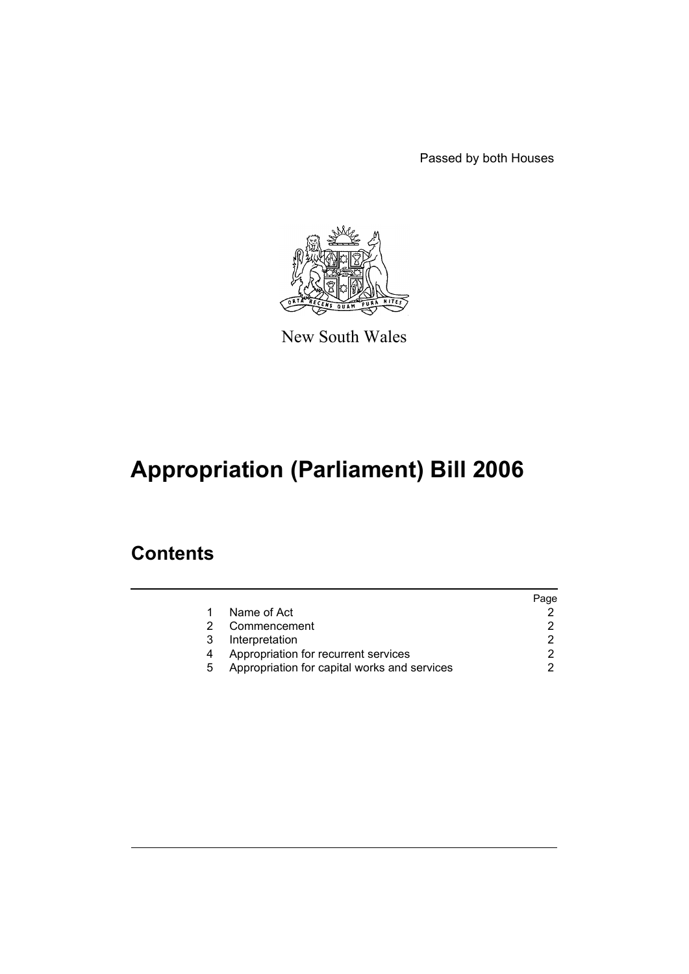Passed by both Houses



New South Wales

# **Appropriation (Parliament) Bill 2006**

### **Contents**

|   |                                              | Page |
|---|----------------------------------------------|------|
|   | Name of Act                                  |      |
|   | Commencement                                 |      |
| 3 | Interpretation                               |      |
|   | Appropriation for recurrent services         |      |
| 5 | Appropriation for capital works and services |      |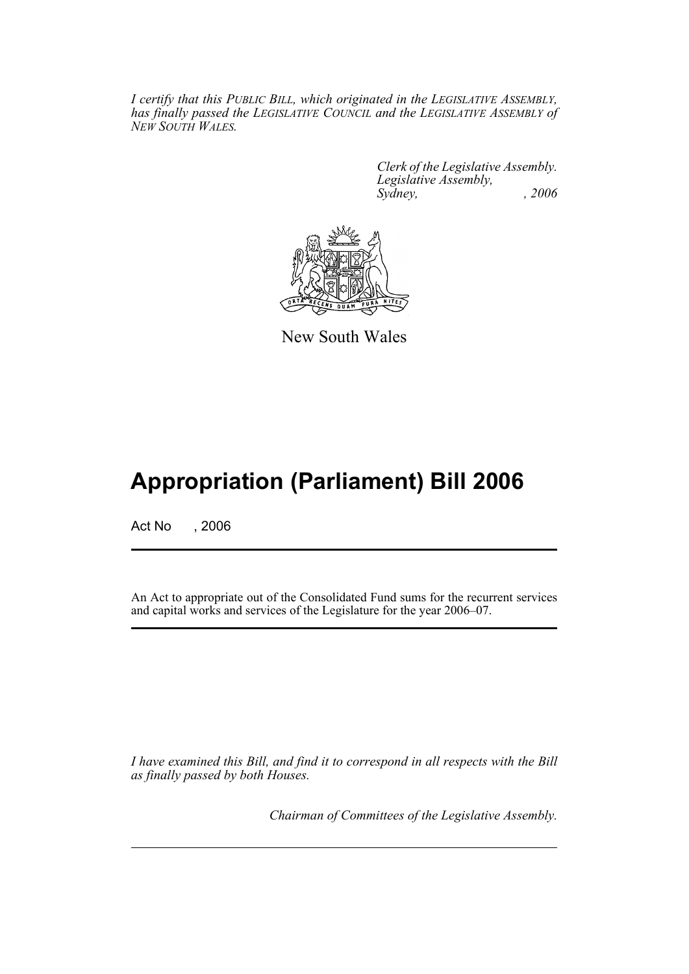*I certify that this PUBLIC BILL, which originated in the LEGISLATIVE ASSEMBLY, has finally passed the LEGISLATIVE COUNCIL and the LEGISLATIVE ASSEMBLY of NEW SOUTH WALES.*

> *Clerk of the Legislative Assembly. Legislative Assembly, Sydney, , 2006*



New South Wales

## **Appropriation (Parliament) Bill 2006**

Act No , 2006

An Act to appropriate out of the Consolidated Fund sums for the recurrent services and capital works and services of the Legislature for the year 2006–07.

*I have examined this Bill, and find it to correspond in all respects with the Bill as finally passed by both Houses.*

*Chairman of Committees of the Legislative Assembly.*